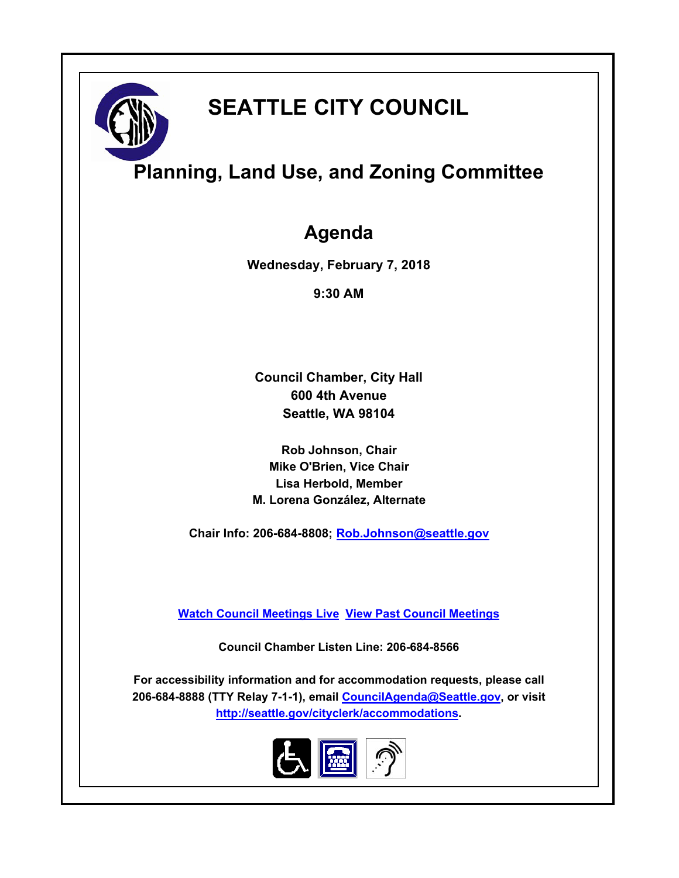

# **SEATTLE CITY COUNCIL**

# **Planning, Land Use, and Zoning Committee**

## **Agenda**

**Wednesday, February 7, 2018**

**9:30 AM**

**Council Chamber, City Hall 600 4th Avenue Seattle, WA 98104**

**Rob Johnson, Chair Mike O'Brien, Vice Chair Lisa Herbold, Member M. Lorena González, Alternate**

**Chair Info: 206-684-8808; [Rob.Johnson@seattle.gov](mailto:Rob.Johnson@seattle.gov)**

**[Watch Council Meetings Live](http://www.seattle.gov/council/councillive.htm) [View Past Council Meetings](http://www.seattlechannel.org/videos/browseVideos.asp?topic=council)**

**Council Chamber Listen Line: 206-684-8566**

**For accessibility information and for accommodation requests, please call 206-684-8888 (TTY Relay 7-1-1), email [CouncilAgenda@Seattle.gov](mailto:CouncilAgenda@Seattle.gov), or visit <http://seattle.gov/cityclerk/accommodations>.**

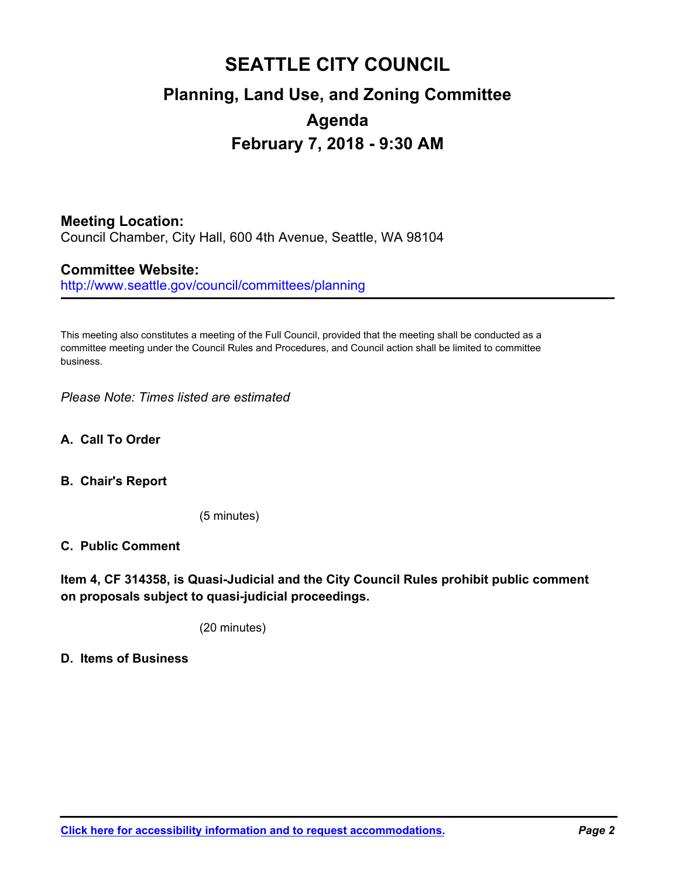## **SEATTLE CITY COUNCIL Planning, Land Use, and Zoning Committee Agenda February 7, 2018 - 9:30 AM**

## **Meeting Location:**

Council Chamber, City Hall, 600 4th Avenue, Seattle, WA 98104

### **Committee Website:**

http://www.seattle.gov/council/committees/planning

This meeting also constitutes a meeting of the Full Council, provided that the meeting shall be conducted as a committee meeting under the Council Rules and Procedures, and Council action shall be limited to committee business.

*Please Note: Times listed are estimated*

- **A. Call To Order**
- **B. Chair's Report**

(5 minutes)

#### **C. Public Comment**

**Item 4, CF 314358, is Quasi-Judicial and the City Council Rules prohibit public comment on proposals subject to quasi-judicial proceedings.**

(20 minutes)

**D. Items of Business**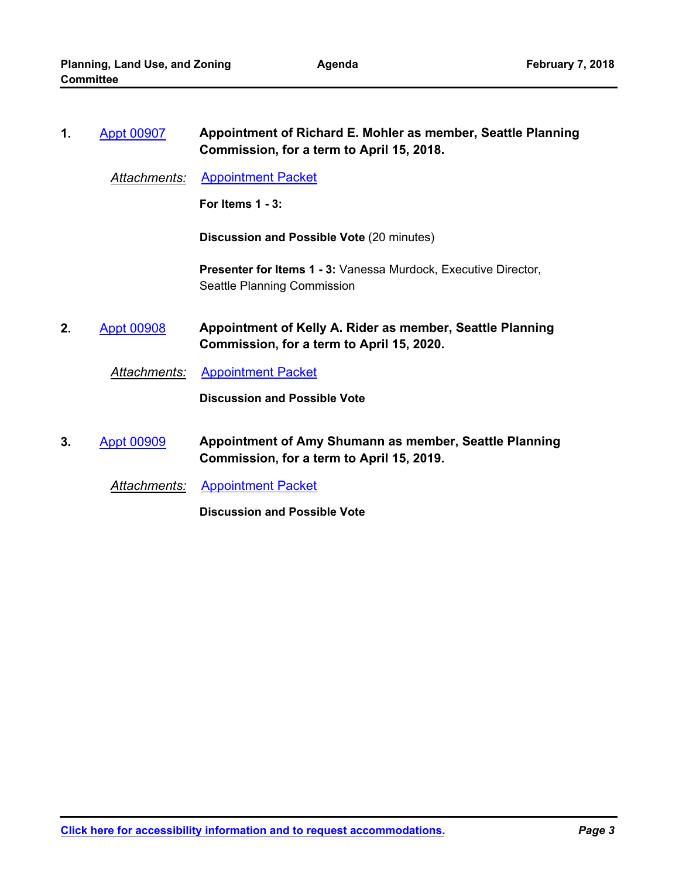| 1. | <b>Appt 00907</b>    | Appointment of Richard E. Mohler as member, Seattle Planning<br>Commission, for a term to April 15, 2018. |
|----|----------------------|-----------------------------------------------------------------------------------------------------------|
|    | <b>Attachments:</b>  | <b>Appointment Packet</b>                                                                                 |
|    |                      | For Items $1 - 3$ :                                                                                       |
|    |                      | <b>Discussion and Possible Vote (20 minutes)</b>                                                          |
|    |                      | Presenter for Items 1 - 3: Vanessa Murdock, Executive Director,<br>Seattle Planning Commission            |
| 2. | <b>Appt 00908</b>    | Appointment of Kelly A. Rider as member, Seattle Planning<br>Commission, for a term to April 15, 2020.    |
|    | Attachments:         | <b>Appointment Packet</b>                                                                                 |
|    |                      | <b>Discussion and Possible Vote</b>                                                                       |
| 3. | <b>Appt 00909</b>    | Appointment of Amy Shumann as member, Seattle Planning<br>Commission, for a term to April 15, 2019.       |
|    | <u> Attachments:</u> | <b>Appointment Packet</b>                                                                                 |
|    |                      | <b>Discussion and Possible Vote</b>                                                                       |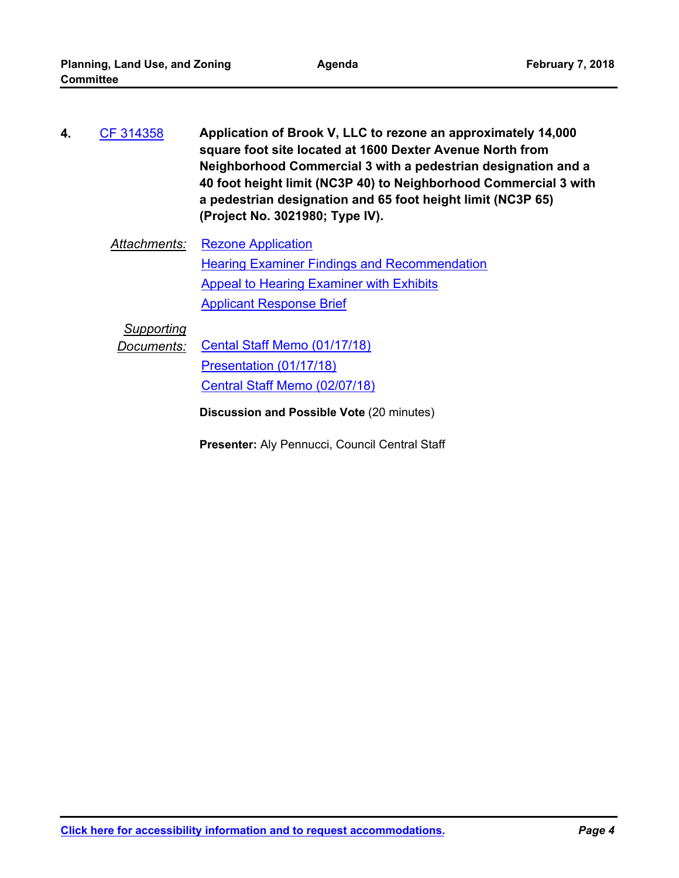- **Application of Brook V, LLC to rezone an approximately 14,000 square foot site located at 1600 Dexter Avenue North from Neighborhood Commercial 3 with a pedestrian designation and a 40 foot height limit (NC3P 40) to Neighborhood Commercial 3 with a pedestrian designation and 65 foot height limit (NC3P 65) (Project No. 3021980; Type IV). 4.** [CF 314358](http://seattle.legistar.com/gateway.aspx?m=l&id=/matter.aspx?key=4594)
	- *Attachments:* [Rezone Application](http://seattle.legistar.com/gateway.aspx?M=F&ID=a67406e9-2061-4665-9d4c-bd17c49b44f4.pdf) [Hearing Examiner Findings and Recommendation](http://seattle.legistar.com/gateway.aspx?M=F&ID=0eab96d9-2a6d-40ee-ab80-5cf70356f419.pdf) **[Appeal to Hearing Examiner with Exhibits](http://seattle.legistar.com/gateway.aspx?M=F&ID=9d3d65fb-3e70-4d60-8f55-94c892cdd08c.pdf)** [Applicant Response Brief](http://seattle.legistar.com/gateway.aspx?M=F&ID=b07d3f33-cfe0-44a0-9f64-5d0acd887612.pdf)

## *Supporting*

**Documents:** [Cental Staff Memo \(01/17/18\)](http://seattle.legistar.com/gateway.aspx?M=F&ID=338690f1-054c-43f2-8ad6-871a7ad2e539.pdf)

[Presentation \(01/17/18\)](http://seattle.legistar.com/gateway.aspx?M=F&ID=e5314dc6-ddd4-4eff-8a88-4b7f6f133a6d.pdf) [Central Staff Memo \(02/07/18\)](http://seattle.legistar.com/gateway.aspx?M=F&ID=eefe3e8c-4866-4cb3-9ea8-6158536cc54b.pdf)

**Discussion and Possible Vote** (20 minutes)

**Presenter:** Aly Pennucci, Council Central Staff